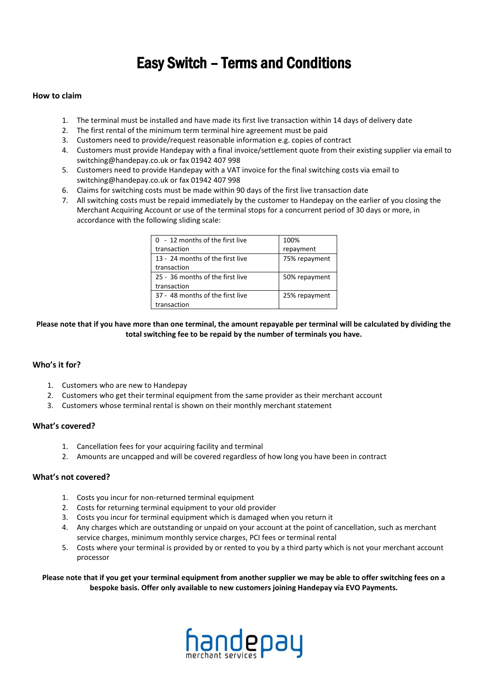# Easy Switch – Terms and Conditions

#### **How to claim**

- 1. The terminal must be installed and have made its first live transaction within 14 days of delivery date
- 2. The first rental of the minimum term terminal hire agreement must be paid
- 3. Customers need to provide/request reasonable information e.g. copies of contract
- 4. Customers must provide Handepay with a final invoice/settlement quote from their existing supplier via email to switching@handepay.co.uk or fax 01942 407 998
- 5. Customers need to provide Handepay with a VAT invoice for the final switching costs via email to switching@handepay.co.uk or fax 01942 407 998
- 6. Claims for switching costs must be made within 90 days of the first live transaction date
- 7. All switching costs must be repaid immediately by the customer to Handepay on the earlier of you closing the Merchant Acquiring Account or use of the terminal stops for a concurrent period of 30 days or more, in accordance with the following sliding scale:

| 0 - 12 months of the first live  | 100%          |
|----------------------------------|---------------|
| transaction                      | repayment     |
| 13 - 24 months of the first live | 75% repayment |
| transaction                      |               |
| 25 - 36 months of the first live | 50% repayment |
| transaction                      |               |
| 37 - 48 months of the first live | 25% repayment |
| transaction                      |               |

**Please note that if you have more than one terminal, the amount repayable per terminal will be calculated by dividing the total switching fee to be repaid by the number of terminals you have.**

## **Who's it for?**

- 1. Customers who are new to Handepay
- 2. Customers who get their terminal equipment from the same provider as their merchant account
- 3. Customers whose terminal rental is shown on their monthly merchant statement

#### **What's covered?**

- 1. Cancellation fees for your acquiring facility and terminal
- 2. Amounts are uncapped and will be covered regardless of how long you have been in contract

#### **What's not covered?**

- 1. Costs you incur for non-returned terminal equipment
- 2. Costs for returning terminal equipment to your old provider
- 3. Costs you incur for terminal equipment which is damaged when you return it
- 4. Any charges which are outstanding or unpaid on your account at the point of cancellation, such as merchant service charges, minimum monthly service charges, PCI fees or terminal rental
- 5. Costs where your terminal is provided by or rented to you by a third party which is not your merchant account processor

**Please note that if you get your terminal equipment from another supplier we may be able to offer switching fees on a bespoke basis. Offer only available to new customers joining Handepay via EVO Payments.**